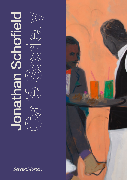## Jonathan Schofield

**Serena Morton** 

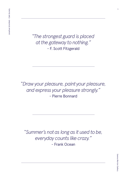*"The strongest guard is placed at the gateway to nothing."* - F. Scott Fitzgerald

*"Draw your pleasure, paint your pleasure, and express your pleasure strongly."* - Pierre Bonnard

*"Summer's not as long as it used to be, everyday counts like crazy."*  - Frank Ocean

 $\overline{1}$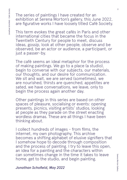The series of paintings I have created for an exhibition at Serena Morton's gallery, this June 2022, are figurative works I have loosely titled Café Society.

This term evokes the great cafés in Paris and other international cities that became the focus in the Twentieth Century for people to meet, discuss ideas, gossip, look at other people, observe and be observed, be an actor or audience, a participant, or just a passer-by.

The café seems an ideal metaphor for the process of making paintings. We go to a place (a studio), begin to converse with our subjects, our materials, our thoughts, and our desire for communication. We sit and wait, we are served (sometimes), we are nourished, thirsts are quenched, appetites are sated, we have conversations, we leave, only to begin the process again another day.

Other paintings in this series are based on other spaces of pleasure, socialising or events: opening presents, picnics, visiting artists' studios, looking at people as they parade on the street enacting wordless dramas. These are all things I have been thinking about.

I collect hundreds of images - from films, the internet, my own photography. This archive becomes a shifting alphabet of elusive signifiers that I somehow hope to decode through composition and the process of painting. I try to leave this open, an idea for a painting and the characters within can sometimes change in the time it takes to leave home, get to the studio, and begin painting.

*Jonathan Schofield, May 2022*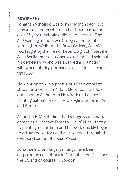## BIOGRAPHY

Jonathan Schofield was born In Manchester, but moved to London where he has been based for over 25 years. Schofield did his Masters in (Fine Art) Painting at the Royal College of Art, South Kensington. Whilst at the Royal College, Schofield was taught by the likes of Peter Doig, John Stezaker, Sean Scully and Helen Chadwick. Schofield sold out his degree show and was awarded a distinction, with work entering permanent collections including the RCA's.

He went on to win a prestigious Scholarship to study for 6 weeks in Asilah, Morocco. Schofield also spent a Summer in New York and enjoyed painting Sabbaticals at the College Studios in Paris and Rome.

After the RCA Schofield had a hugely successful career as a Creative Director. In 2014 he started to paint again full time and his work quickly began to attract collectors and an audience through the democratisation of Social Media.

Jonathan's often large paintings have been acquired by collections in Copenhagen, Germany, the US and of course in London.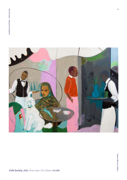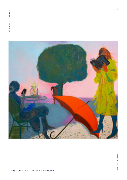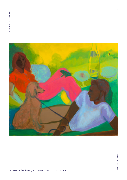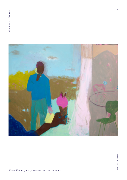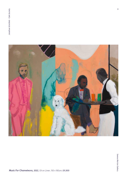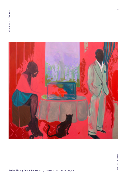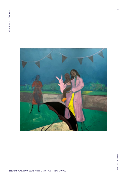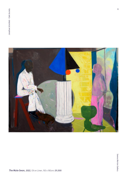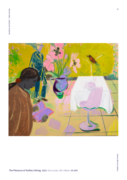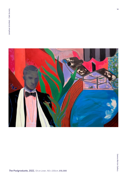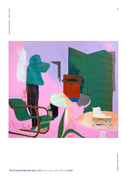